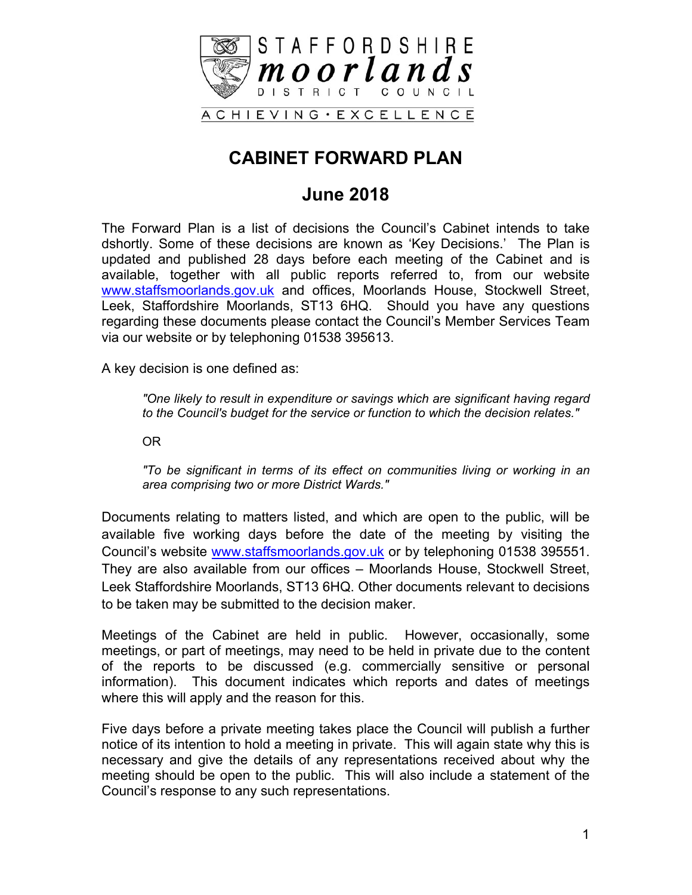

# **CABINET FORWARD PLAN**

### **June 2018**

The Forward Plan is a list of decisions the Council's Cabinet intends to take dshortly. Some of these decisions are known as 'Key Decisions.' The Plan is updated and published 28 days before each meeting of the Cabinet and is available, together with all public reports referred to, from our website [www.staffsmoorlands.gov.uk](http://www.staffsmoorlands.gov.uk/) and offices, Moorlands House, Stockwell Street, Leek, Staffordshire Moorlands, ST13 6HQ. Should you have any questions regarding these documents please contact the Council's Member Services Team via our website or by telephoning 01538 395613.

A key decision is one defined as:

*"One likely to result in expenditure or savings which are significant having regard to the Council's budget for the service or function to which the decision relates."*

OR

*"To be significant in terms of its effect on communities living or working in an area comprising two or more District Wards."*

Documents relating to matters listed, and which are open to the public, will be available five working days before the date of the meeting by visiting the Council's website [www.staffsmoorlands.gov.uk](http://www.staffsmoorlands.gov.uk/) or by telephoning 01538 395551. They are also available from our offices – Moorlands House, Stockwell Street, Leek Staffordshire Moorlands, ST13 6HQ. Other documents relevant to decisions to be taken may be submitted to the decision maker.

Meetings of the Cabinet are held in public. However, occasionally, some meetings, or part of meetings, may need to be held in private due to the content of the reports to be discussed (e.g. commercially sensitive or personal information). This document indicates which reports and dates of meetings where this will apply and the reason for this.

Five days before a private meeting takes place the Council will publish a further notice of its intention to hold a meeting in private. This will again state why this is necessary and give the details of any representations received about why the meeting should be open to the public. This will also include a statement of the Council's response to any such representations.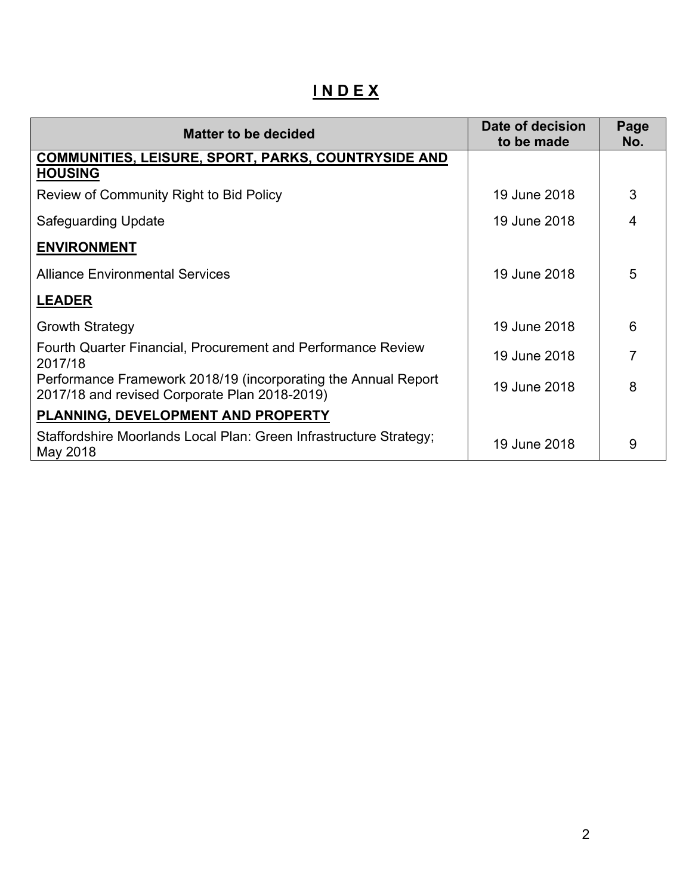# **I N D E X**

| <b>Matter to be decided</b>                                                                                     | Date of decision<br>to be made | Page<br>No.    |
|-----------------------------------------------------------------------------------------------------------------|--------------------------------|----------------|
| <b>COMMUNITIES, LEISURE, SPORT, PARKS, COUNTRYSIDE AND</b><br><b>HOUSING</b>                                    |                                |                |
| Review of Community Right to Bid Policy                                                                         | 19 June 2018                   | 3              |
| <b>Safeguarding Update</b>                                                                                      | 19 June 2018                   | $\overline{4}$ |
| <b>ENVIRONMENT</b>                                                                                              |                                |                |
| <b>Alliance Environmental Services</b>                                                                          | 19 June 2018                   | 5              |
| <b>LEADER</b>                                                                                                   |                                |                |
| <b>Growth Strategy</b>                                                                                          | 19 June 2018                   | 6              |
| Fourth Quarter Financial, Procurement and Performance Review<br>2017/18                                         | 19 June 2018                   | 7              |
| Performance Framework 2018/19 (incorporating the Annual Report<br>2017/18 and revised Corporate Plan 2018-2019) | 19 June 2018                   | 8              |
| PLANNING, DEVELOPMENT AND PROPERTY                                                                              |                                |                |
| Staffordshire Moorlands Local Plan: Green Infrastructure Strategy;<br>May 2018                                  | 19 June 2018                   | 9              |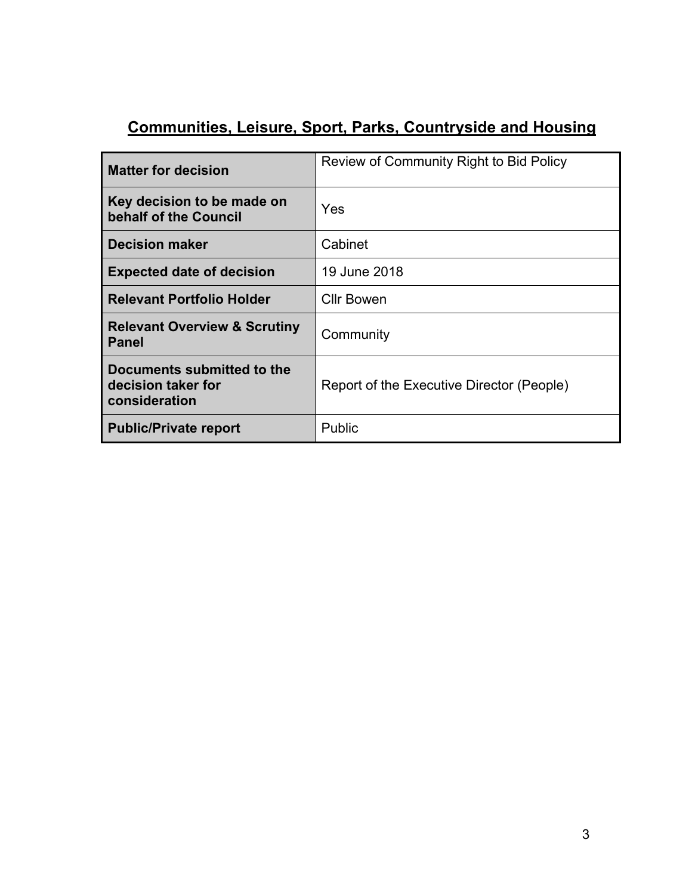# **Communities, Leisure, Sport, Parks, Countryside and Housing**

| <b>Matter for decision</b>                                        | Review of Community Right to Bid Policy   |
|-------------------------------------------------------------------|-------------------------------------------|
| Key decision to be made on<br>behalf of the Council               | Yes                                       |
| <b>Decision maker</b>                                             | Cabinet                                   |
| <b>Expected date of decision</b>                                  | 19 June 2018                              |
| <b>Relevant Portfolio Holder</b>                                  | <b>Cllr Bowen</b>                         |
| <b>Relevant Overview &amp; Scrutiny</b><br>Panel                  | Community                                 |
| Documents submitted to the<br>decision taker for<br>consideration | Report of the Executive Director (People) |
| <b>Public/Private report</b>                                      | Public                                    |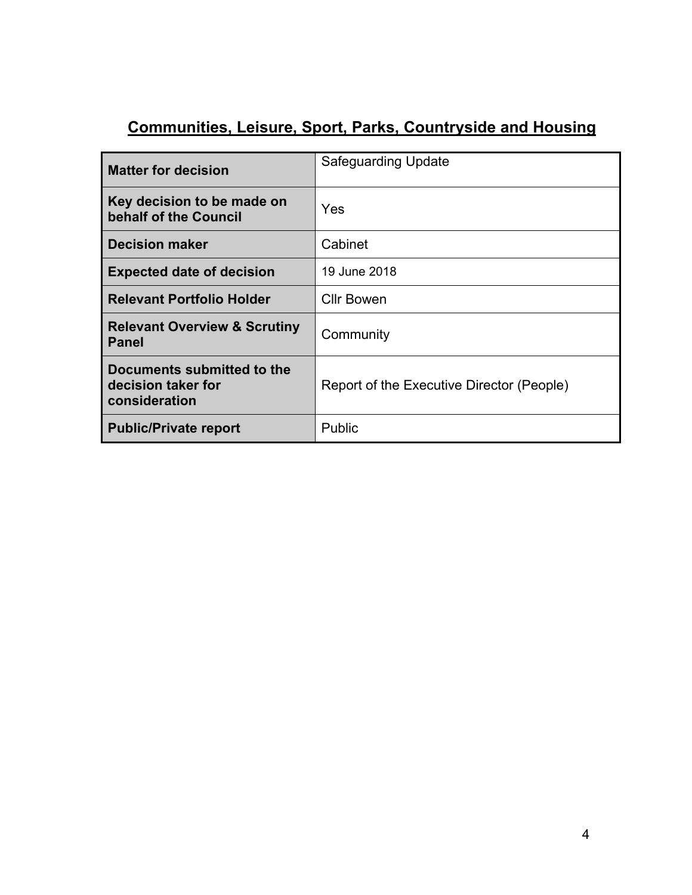# **Communities, Leisure, Sport, Parks, Countryside and Housing**

| <b>Matter for decision</b>                                        | <b>Safeguarding Update</b>                |
|-------------------------------------------------------------------|-------------------------------------------|
| Key decision to be made on<br>behalf of the Council               | <b>Yes</b>                                |
| <b>Decision maker</b>                                             | Cabinet                                   |
| <b>Expected date of decision</b>                                  | 19 June 2018                              |
| <b>Relevant Portfolio Holder</b>                                  | <b>Cllr Bowen</b>                         |
| <b>Relevant Overview &amp; Scrutiny</b><br><b>Panel</b>           | Community                                 |
| Documents submitted to the<br>decision taker for<br>consideration | Report of the Executive Director (People) |
| <b>Public/Private report</b>                                      | Public                                    |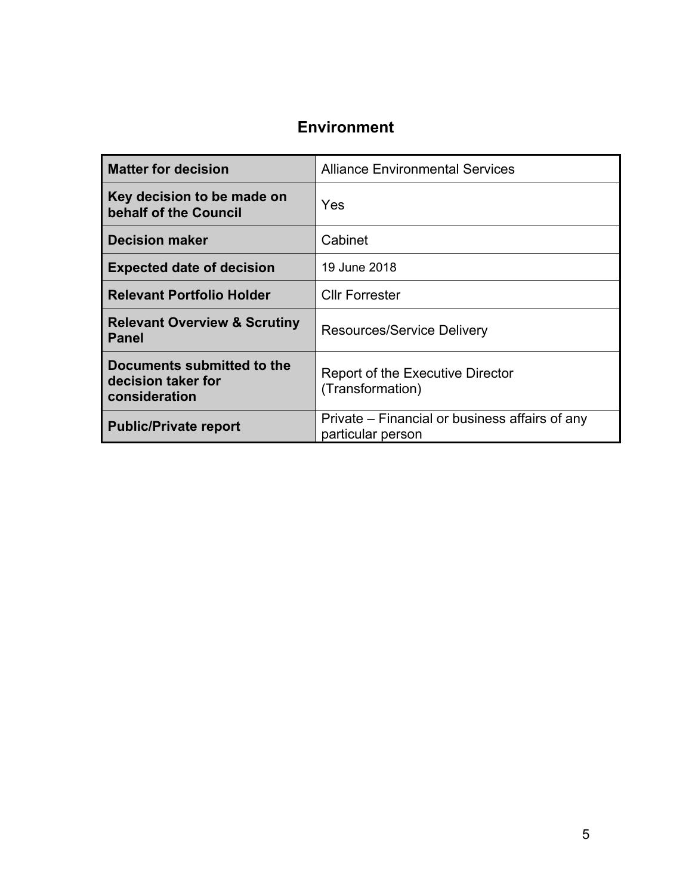#### **Environment**

| <b>Matter for decision</b>                                        | <b>Alliance Environmental Services</b>                              |
|-------------------------------------------------------------------|---------------------------------------------------------------------|
| Key decision to be made on<br>behalf of the Council               | Yes                                                                 |
| <b>Decision maker</b>                                             | Cabinet                                                             |
| <b>Expected date of decision</b>                                  | 19 June 2018                                                        |
| <b>Relevant Portfolio Holder</b>                                  | <b>Cllr Forrester</b>                                               |
| <b>Relevant Overview &amp; Scrutiny</b><br><b>Panel</b>           | <b>Resources/Service Delivery</b>                                   |
| Documents submitted to the<br>decision taker for<br>consideration | Report of the Executive Director<br>(Transformation)                |
| <b>Public/Private report</b>                                      | Private – Financial or business affairs of any<br>particular person |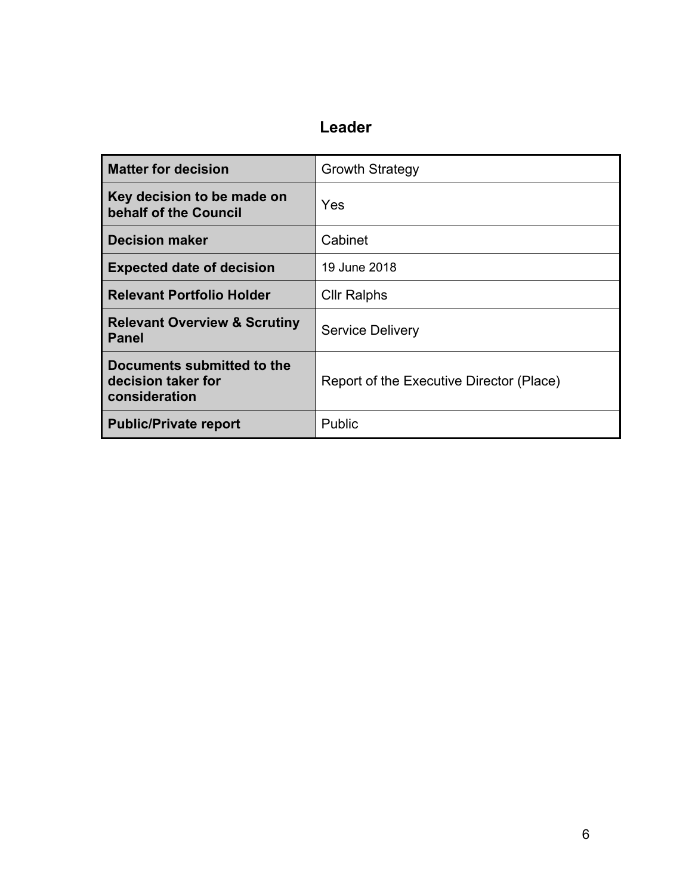### **Leader**

| <b>Matter for decision</b>                                        | <b>Growth Strategy</b>                   |
|-------------------------------------------------------------------|------------------------------------------|
| Key decision to be made on<br>behalf of the Council               | Yes                                      |
| <b>Decision maker</b>                                             | Cabinet                                  |
| <b>Expected date of decision</b>                                  | 19 June 2018                             |
| <b>Relevant Portfolio Holder</b>                                  | <b>Cllr Ralphs</b>                       |
| <b>Relevant Overview &amp; Scrutiny</b><br><b>Panel</b>           | <b>Service Delivery</b>                  |
| Documents submitted to the<br>decision taker for<br>consideration | Report of the Executive Director (Place) |
| <b>Public/Private report</b>                                      | Public                                   |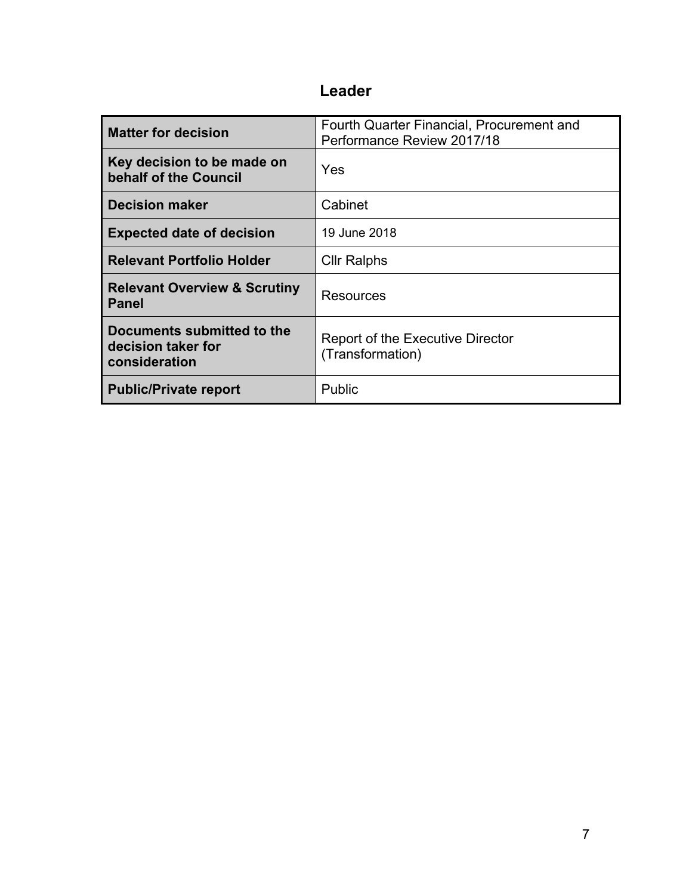### **Leader**

| <b>Matter for decision</b>                                        | Fourth Quarter Financial, Procurement and<br>Performance Review 2017/18 |
|-------------------------------------------------------------------|-------------------------------------------------------------------------|
| Key decision to be made on<br>behalf of the Council               | Yes                                                                     |
| <b>Decision maker</b>                                             | Cabinet                                                                 |
| <b>Expected date of decision</b>                                  | 19 June 2018                                                            |
| <b>Relevant Portfolio Holder</b>                                  | <b>Cllr Ralphs</b>                                                      |
| <b>Relevant Overview &amp; Scrutiny</b><br><b>Panel</b>           | Resources                                                               |
| Documents submitted to the<br>decision taker for<br>consideration | <b>Report of the Executive Director</b><br>(Transformation)             |
| <b>Public/Private report</b>                                      | Public                                                                  |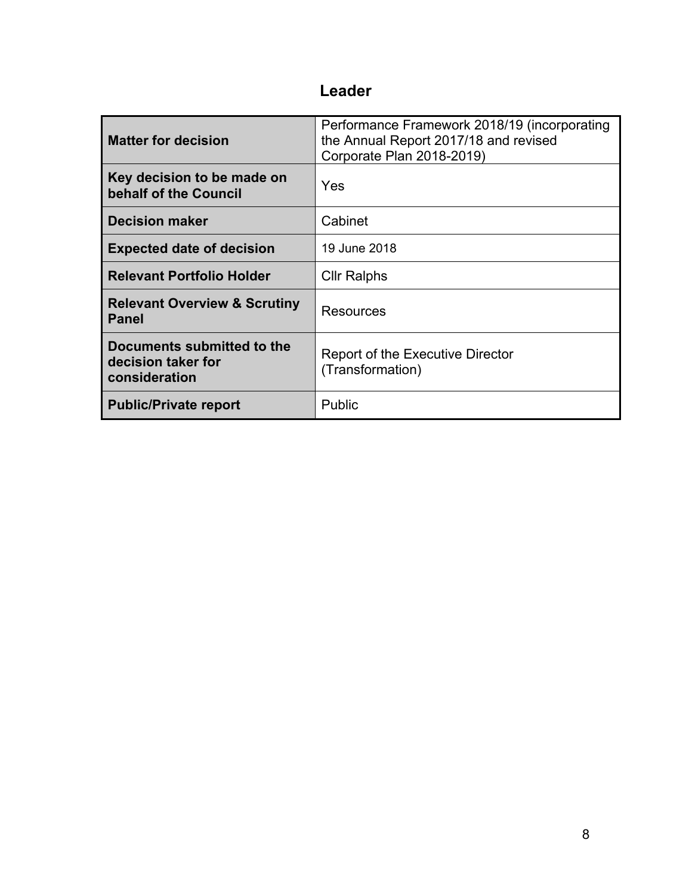### **Leader**

| <b>Matter for decision</b>                                        | Performance Framework 2018/19 (incorporating<br>the Annual Report 2017/18 and revised<br>Corporate Plan 2018-2019) |
|-------------------------------------------------------------------|--------------------------------------------------------------------------------------------------------------------|
| Key decision to be made on<br>behalf of the Council               | Yes                                                                                                                |
| <b>Decision maker</b>                                             | Cabinet                                                                                                            |
| <b>Expected date of decision</b>                                  | 19 June 2018                                                                                                       |
| <b>Relevant Portfolio Holder</b>                                  | Cllr Ralphs                                                                                                        |
| <b>Relevant Overview &amp; Scrutiny</b><br><b>Panel</b>           | Resources                                                                                                          |
| Documents submitted to the<br>decision taker for<br>consideration | Report of the Executive Director<br>(Transformation)                                                               |
| <b>Public/Private report</b>                                      | <b>Public</b>                                                                                                      |